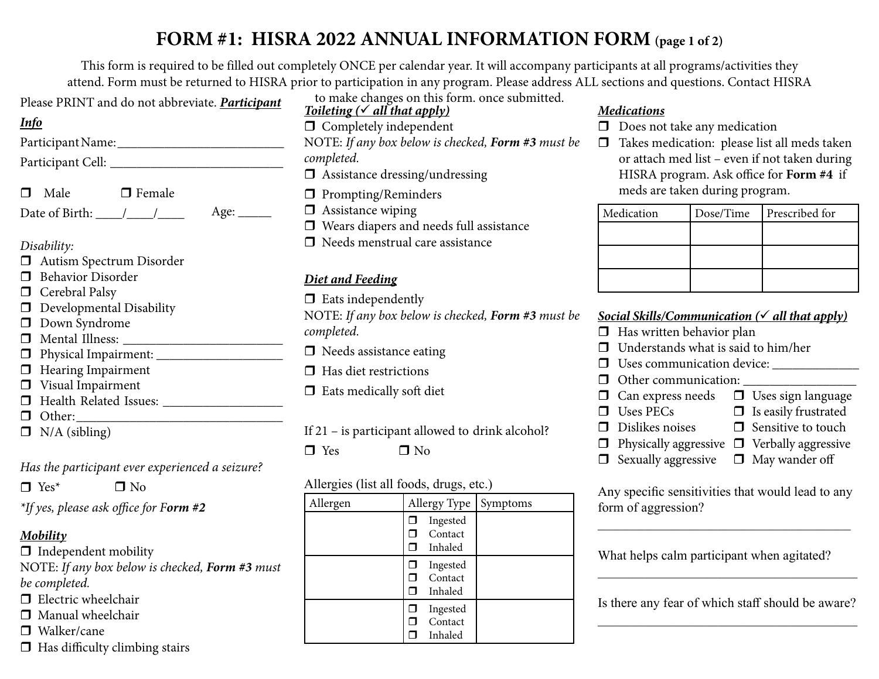## **FORM #1: HISRA 2022 ANNUAL INFORMATION FORM (page 1 of 2)**

This form is required to be filled out completely ONCE per calendar year. It will accompany participants at all programs/activities they attend. Form must be returned to HISRA prior to participation in any program. Please address ALL sections and questions. Contact HISRA

| Please PRINT and do not abbreviate. Participant |  |
|-------------------------------------------------|--|
|-------------------------------------------------|--|

#### *Info*

Participant Name: \_\_\_\_\_\_\_\_\_\_\_\_\_\_\_\_\_\_\_\_\_\_\_\_\_

- Participant Cell:
- $\Box$  Male  $\Box$  Female
- Date of Birth:  $\frac{\sqrt{2}}{2}$  Age:  $\frac{\sqrt{2}}{2}$

#### *Disability:*

- Autism Spectrum Disorder
- $\Box$  Behavior Disorder
- $\Box$  Cerebral Palsy
- Developmental Disability
- Down Syndrome
- Mental Illness: \_\_\_\_\_\_\_\_\_\_\_\_\_\_\_\_\_\_\_\_\_\_\_\_
- $\Box$  Physical Impairment:
- $\Box$  Hearing Impairment
- **U** Visual Impairment
- $\Box$  Health Related Issues:
- $\Box$  Other:
- $\Box$  N/A (sibling)

### *Has the participant ever experienced a seizure?*

 $\Box$  Yes<sup>\*</sup>  $\Box$  No

*\*If yes, please ask office for Form #2*

## *Mobility*

- $\Box$  Independent mobility NOTE: *If any box below is checked, Form #3 must be completed.*
- $\Box$  Electric wheelchair
- $\Box$  Manual wheelchair
- □ Walker/cane
- $\Box$  Has difficulty climbing stairs

*Toileting ( all that apply)*  $\Box$  Completely independent NOTE: *If any box below is checked, Form #3 must be completed.* Assistance dressing/undressing to make changes on this form. once submitted.

- **D** Prompting/Reminders
- $\Box$  Assistance wiping
- Wears diapers and needs full assistance
- $\Box$  Needs menstrual care assistance

## *Diet and Feeding*

 $\Box$  Eats independently

NOTE: *If any box below is checked, Form #3 must be completed.*

- $\Box$  Needs assistance eating
- $\Box$  Has diet restrictions
- $\Box$  Eats medically soft diet

If 21 – is participant allowed to drink alcohol?

 $\Box$  Yes  $\Box$  No

### Allergies (list all foods, drugs, etc.)

| Allergen | Allergy Type |                                | <b>Symptoms</b> |  |
|----------|--------------|--------------------------------|-----------------|--|
|          |              | Ingested<br>Contact<br>Inhaled |                 |  |
|          | □            | Ingested<br>Contact<br>Inhaled |                 |  |
|          | □            | Ingested<br>Contact<br>Inhaled |                 |  |

### *Medications*

- $\Box$  Does not take any medication
- $\Box$  Takes medication: please list all meds taken or attach med list – even if not taken during HISRA program. Ask office for **Form #4** if meds are taken during program.

| Medication | Dose/Time | Prescribed for |
|------------|-----------|----------------|
|            |           |                |
|            |           |                |
|            |           |                |

#### *Social Skills/Communication ( all that apply)*

- $\Box$  Has written behavior plan
- $\Box$  Understands what is said to him/her
- Uses communication device: \_\_\_\_\_\_\_\_\_\_\_\_\_
- Other communication: \_\_\_\_\_\_\_\_\_\_\_\_\_\_\_\_\_
- $\Box$  Can express needs  $\Box$  Uses sign language<br> $\Box$  Uses PECs  $\Box$  Is easily frustrated  $\Box$  Is easily frustrated
	-
- $\Box$  Dislikes noises  $\Box$  Sensitive to touch
- $\Box$  Physically aggressive  $\Box$  Verbally aggressive
- $\Box$  Sexually aggressive  $\Box$  May wander off
- 

Any specific sensitivities that would lead to any form of aggression?

What helps calm participant when agitated?

Is there any fear of which staff should be aware? \_\_\_\_\_\_\_\_\_\_\_\_\_\_\_\_\_\_\_\_\_\_\_\_\_\_\_\_\_\_\_\_\_\_\_\_\_\_\_

 $\mathcal{L}_\text{max}$  and  $\mathcal{L}_\text{max}$  and  $\mathcal{L}_\text{max}$  and  $\mathcal{L}_\text{max}$